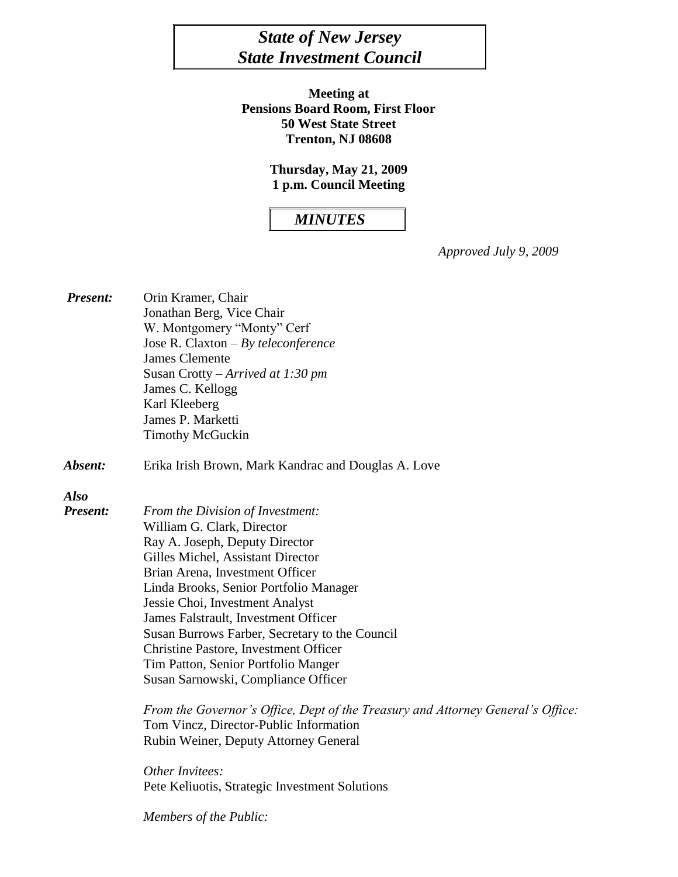# *State of New Jersey State Investment Council*

**Meeting at Pensions Board Room, First Floor 50 West State Street Trenton, NJ 08608**

> **Thursday, May 21, 2009 1 p.m. Council Meeting**

## *MINUTES*

*Approved July 9, 2009*

| <b>Present:</b> | Orin Kramer, Chair                                                              |
|-----------------|---------------------------------------------------------------------------------|
|                 | Jonathan Berg, Vice Chair                                                       |
|                 | W. Montgomery "Monty" Cerf                                                      |
|                 | Jose R. Claxton $-By$ teleconference                                            |
|                 | <b>James Clemente</b>                                                           |
|                 | Susan Crotty – Arrived at 1:30 pm                                               |
|                 | James C. Kellogg                                                                |
|                 | Karl Kleeberg                                                                   |
|                 | James P. Marketti                                                               |
|                 | <b>Timothy McGuckin</b>                                                         |
| Absent:         | Erika Irish Brown, Mark Kandrac and Douglas A. Love                             |
| <b>Also</b>     |                                                                                 |
| Present:        | From the Division of Investment:                                                |
|                 | William G. Clark, Director                                                      |
|                 | Ray A. Joseph, Deputy Director                                                  |
|                 | Gilles Michel, Assistant Director                                               |
|                 | Brian Arena, Investment Officer                                                 |
|                 | Linda Brooks, Senior Portfolio Manager                                          |
|                 | Jessie Choi, Investment Analyst                                                 |
|                 | James Falstrault, Investment Officer                                            |
|                 | Susan Burrows Farber, Secretary to the Council                                  |
|                 | <b>Christine Pastore, Investment Officer</b>                                    |
|                 | Tim Patton, Senior Portfolio Manger                                             |
|                 | Susan Sarnowski, Compliance Officer                                             |
|                 | From the Governor's Office, Dept of the Treasury and Attorney General's Office: |
|                 | Tom Vincz, Director-Public Information                                          |
|                 | Rubin Weiner, Deputy Attorney General                                           |
|                 | Other Invitees:                                                                 |
|                 | Pete Keliuotis, Strategic Investment Solutions                                  |
|                 | Members of the Public:                                                          |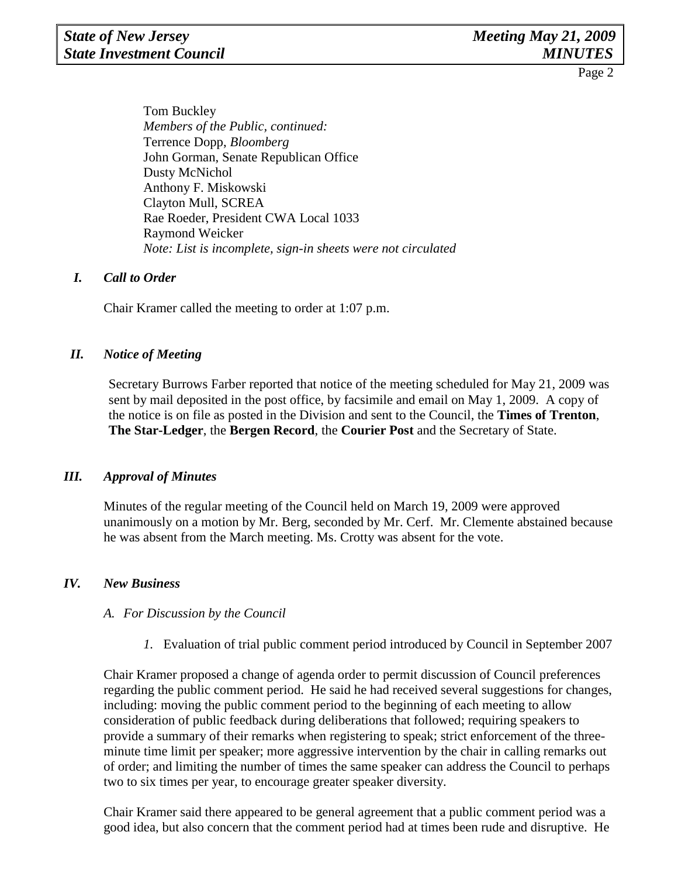Tom Buckley *Members of the Public, continued:*  Terrence Dopp, *Bloomberg* John Gorman, Senate Republican Office Dusty McNichol Anthony F. Miskowski Clayton Mull, SCREA Rae Roeder, President CWA Local 1033 Raymond Weicker *Note: List is incomplete, sign-in sheets were not circulated*

#### *I. Call to Order*

Chair Kramer called the meeting to order at 1:07 p.m.

#### *II. Notice of Meeting*

Secretary Burrows Farber reported that notice of the meeting scheduled for May 21, 2009 was sent by mail deposited in the post office, by facsimile and email on May 1, 2009. A copy of the notice is on file as posted in the Division and sent to the Council, the **Times of Trenton**, **The Star-Ledger**, the **Bergen Record**, the **Courier Post** and the Secretary of State.

#### *III. Approval of Minutes*

Minutes of the regular meeting of the Council held on March 19, 2009 were approved unanimously on a motion by Mr. Berg, seconded by Mr. Cerf. Mr. Clemente abstained because he was absent from the March meeting. Ms. Crotty was absent for the vote.

#### *IV. New Business*

#### *A. For Discussion by the Council*

*1.* Evaluation of trial public comment period introduced by Council in September 2007

Chair Kramer proposed a change of agenda order to permit discussion of Council preferences regarding the public comment period. He said he had received several suggestions for changes, including: moving the public comment period to the beginning of each meeting to allow consideration of public feedback during deliberations that followed; requiring speakers to provide a summary of their remarks when registering to speak; strict enforcement of the threeminute time limit per speaker; more aggressive intervention by the chair in calling remarks out of order; and limiting the number of times the same speaker can address the Council to perhaps two to six times per year, to encourage greater speaker diversity.

Chair Kramer said there appeared to be general agreement that a public comment period was a good idea, but also concern that the comment period had at times been rude and disruptive. He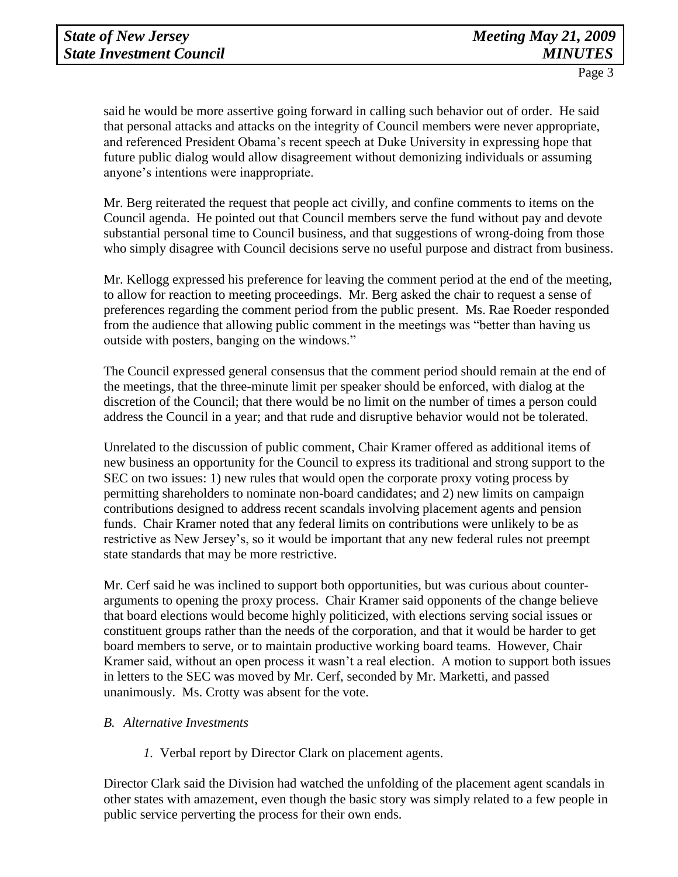said he would be more assertive going forward in calling such behavior out of order. He said that personal attacks and attacks on the integrity of Council members were never appropriate, and referenced President Obama's recent speech at Duke University in expressing hope that future public dialog would allow disagreement without demonizing individuals or assuming anyone's intentions were inappropriate.

Mr. Berg reiterated the request that people act civilly, and confine comments to items on the Council agenda. He pointed out that Council members serve the fund without pay and devote substantial personal time to Council business, and that suggestions of wrong-doing from those who simply disagree with Council decisions serve no useful purpose and distract from business.

Mr. Kellogg expressed his preference for leaving the comment period at the end of the meeting, to allow for reaction to meeting proceedings. Mr. Berg asked the chair to request a sense of preferences regarding the comment period from the public present. Ms. Rae Roeder responded from the audience that allowing public comment in the meetings was "better than having us outside with posters, banging on the windows."

The Council expressed general consensus that the comment period should remain at the end of the meetings, that the three-minute limit per speaker should be enforced, with dialog at the discretion of the Council; that there would be no limit on the number of times a person could address the Council in a year; and that rude and disruptive behavior would not be tolerated.

Unrelated to the discussion of public comment, Chair Kramer offered as additional items of new business an opportunity for the Council to express its traditional and strong support to the SEC on two issues: 1) new rules that would open the corporate proxy voting process by permitting shareholders to nominate non-board candidates; and 2) new limits on campaign contributions designed to address recent scandals involving placement agents and pension funds. Chair Kramer noted that any federal limits on contributions were unlikely to be as restrictive as New Jersey's, so it would be important that any new federal rules not preempt state standards that may be more restrictive.

Mr. Cerf said he was inclined to support both opportunities, but was curious about counterarguments to opening the proxy process. Chair Kramer said opponents of the change believe that board elections would become highly politicized, with elections serving social issues or constituent groups rather than the needs of the corporation, and that it would be harder to get board members to serve, or to maintain productive working board teams. However, Chair Kramer said, without an open process it wasn't a real election. A motion to support both issues in letters to the SEC was moved by Mr. Cerf, seconded by Mr. Marketti, and passed unanimously. Ms. Crotty was absent for the vote.

#### *B. Alternative Investments*

*1.* Verbal report by Director Clark on placement agents.

Director Clark said the Division had watched the unfolding of the placement agent scandals in other states with amazement, even though the basic story was simply related to a few people in public service perverting the process for their own ends.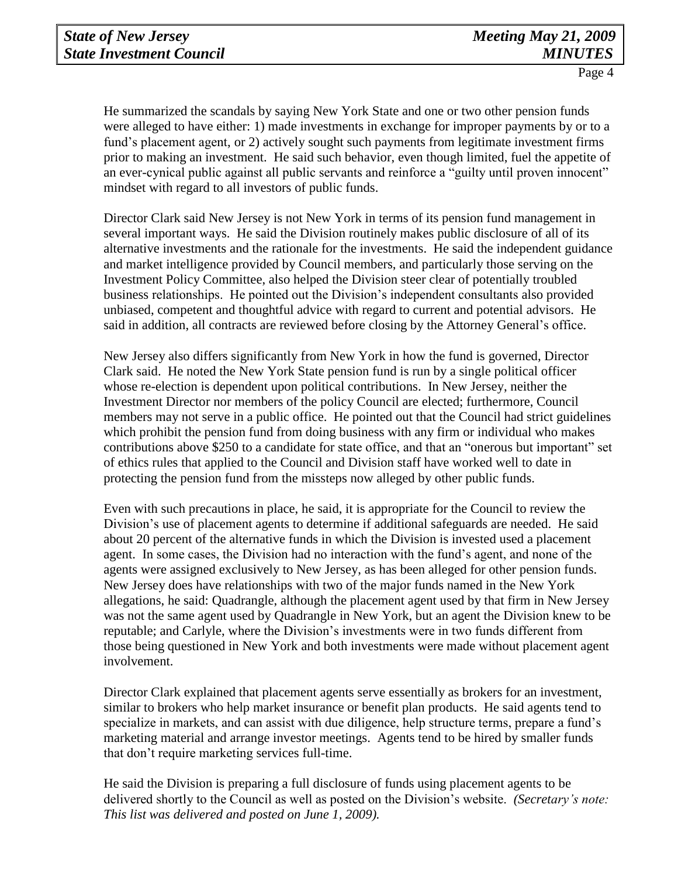He summarized the scandals by saying New York State and one or two other pension funds were alleged to have either: 1) made investments in exchange for improper payments by or to a fund's placement agent, or 2) actively sought such payments from legitimate investment firms prior to making an investment. He said such behavior, even though limited, fuel the appetite of an ever-cynical public against all public servants and reinforce a "guilty until proven innocent" mindset with regard to all investors of public funds.

Director Clark said New Jersey is not New York in terms of its pension fund management in several important ways. He said the Division routinely makes public disclosure of all of its alternative investments and the rationale for the investments. He said the independent guidance and market intelligence provided by Council members, and particularly those serving on the Investment Policy Committee, also helped the Division steer clear of potentially troubled business relationships. He pointed out the Division's independent consultants also provided unbiased, competent and thoughtful advice with regard to current and potential advisors. He said in addition, all contracts are reviewed before closing by the Attorney General's office.

New Jersey also differs significantly from New York in how the fund is governed, Director Clark said. He noted the New York State pension fund is run by a single political officer whose re-election is dependent upon political contributions. In New Jersey, neither the Investment Director nor members of the policy Council are elected; furthermore, Council members may not serve in a public office. He pointed out that the Council had strict guidelines which prohibit the pension fund from doing business with any firm or individual who makes contributions above \$250 to a candidate for state office, and that an "onerous but important" set of ethics rules that applied to the Council and Division staff have worked well to date in protecting the pension fund from the missteps now alleged by other public funds.

Even with such precautions in place, he said, it is appropriate for the Council to review the Division's use of placement agents to determine if additional safeguards are needed. He said about 20 percent of the alternative funds in which the Division is invested used a placement agent. In some cases, the Division had no interaction with the fund's agent, and none of the agents were assigned exclusively to New Jersey, as has been alleged for other pension funds. New Jersey does have relationships with two of the major funds named in the New York allegations, he said: Quadrangle, although the placement agent used by that firm in New Jersey was not the same agent used by Quadrangle in New York, but an agent the Division knew to be reputable; and Carlyle, where the Division's investments were in two funds different from those being questioned in New York and both investments were made without placement agent involvement.

Director Clark explained that placement agents serve essentially as brokers for an investment, similar to brokers who help market insurance or benefit plan products. He said agents tend to specialize in markets, and can assist with due diligence, help structure terms, prepare a fund's marketing material and arrange investor meetings. Agents tend to be hired by smaller funds that don't require marketing services full-time.

He said the Division is preparing a full disclosure of funds using placement agents to be delivered shortly to the Council as well as posted on the Division's website. *(Secretary's note: This list was delivered and posted on June 1, 2009).*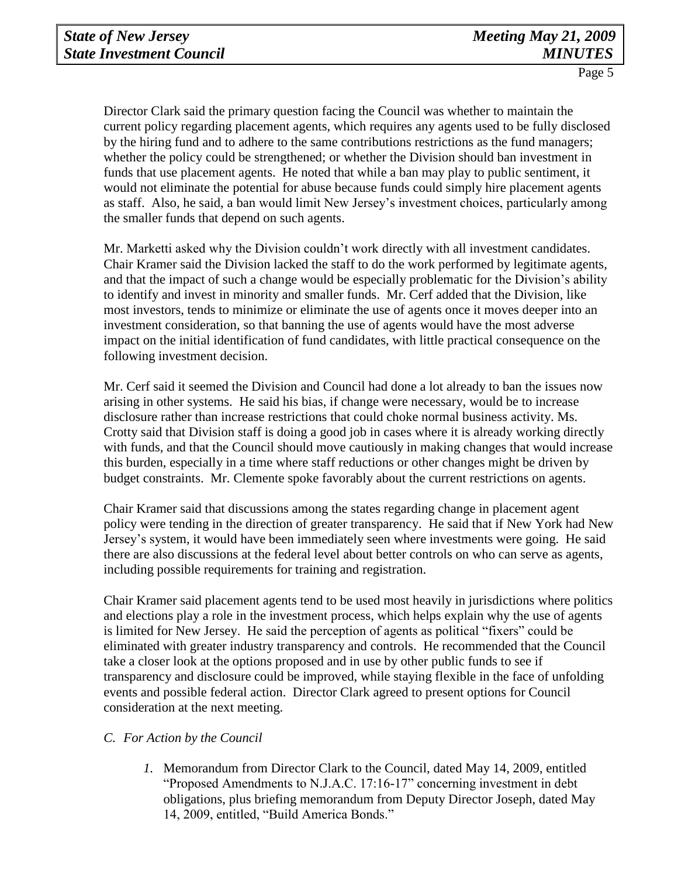Director Clark said the primary question facing the Council was whether to maintain the current policy regarding placement agents, which requires any agents used to be fully disclosed by the hiring fund and to adhere to the same contributions restrictions as the fund managers; whether the policy could be strengthened; or whether the Division should ban investment in funds that use placement agents. He noted that while a ban may play to public sentiment, it would not eliminate the potential for abuse because funds could simply hire placement agents as staff. Also, he said, a ban would limit New Jersey's investment choices, particularly among the smaller funds that depend on such agents.

Mr. Marketti asked why the Division couldn't work directly with all investment candidates. Chair Kramer said the Division lacked the staff to do the work performed by legitimate agents, and that the impact of such a change would be especially problematic for the Division's ability to identify and invest in minority and smaller funds. Mr. Cerf added that the Division, like most investors, tends to minimize or eliminate the use of agents once it moves deeper into an investment consideration, so that banning the use of agents would have the most adverse impact on the initial identification of fund candidates, with little practical consequence on the following investment decision.

Mr. Cerf said it seemed the Division and Council had done a lot already to ban the issues now arising in other systems. He said his bias, if change were necessary, would be to increase disclosure rather than increase restrictions that could choke normal business activity. Ms. Crotty said that Division staff is doing a good job in cases where it is already working directly with funds, and that the Council should move cautiously in making changes that would increase this burden, especially in a time where staff reductions or other changes might be driven by budget constraints. Mr. Clemente spoke favorably about the current restrictions on agents.

Chair Kramer said that discussions among the states regarding change in placement agent policy were tending in the direction of greater transparency. He said that if New York had New Jersey's system, it would have been immediately seen where investments were going. He said there are also discussions at the federal level about better controls on who can serve as agents, including possible requirements for training and registration.

Chair Kramer said placement agents tend to be used most heavily in jurisdictions where politics and elections play a role in the investment process, which helps explain why the use of agents is limited for New Jersey. He said the perception of agents as political "fixers" could be eliminated with greater industry transparency and controls. He recommended that the Council take a closer look at the options proposed and in use by other public funds to see if transparency and disclosure could be improved, while staying flexible in the face of unfolding events and possible federal action. Director Clark agreed to present options for Council consideration at the next meeting.

#### *C. For Action by the Council*

*1.* Memorandum from Director Clark to the Council, dated May 14, 2009, entitled "Proposed Amendments to N.J.A.C. 17:16-17" concerning investment in debt obligations, plus briefing memorandum from Deputy Director Joseph, dated May 14, 2009, entitled, "Build America Bonds."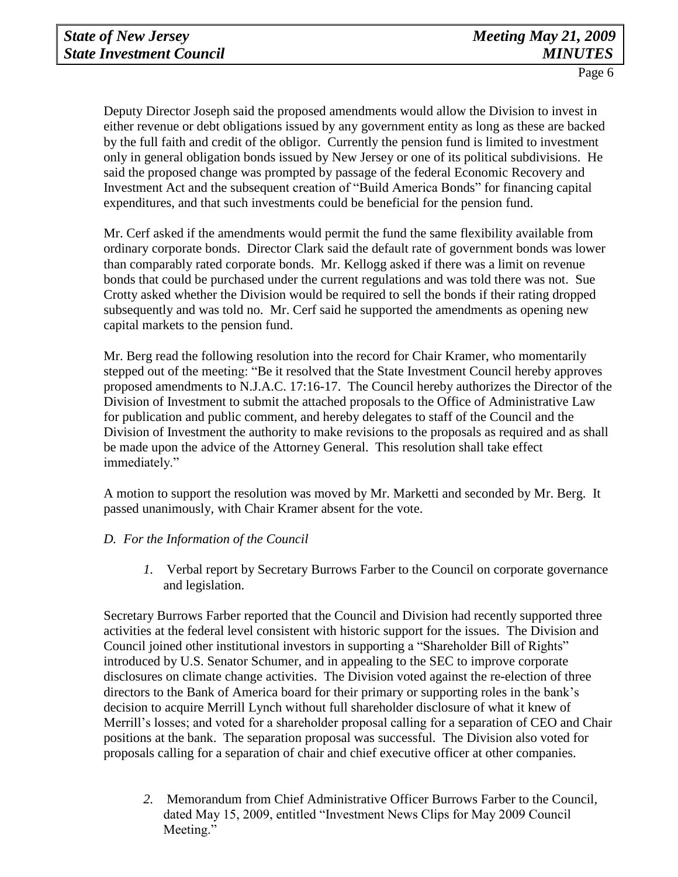Deputy Director Joseph said the proposed amendments would allow the Division to invest in either revenue or debt obligations issued by any government entity as long as these are backed by the full faith and credit of the obligor. Currently the pension fund is limited to investment only in general obligation bonds issued by New Jersey or one of its political subdivisions. He said the proposed change was prompted by passage of the federal Economic Recovery and Investment Act and the subsequent creation of "Build America Bonds" for financing capital expenditures, and that such investments could be beneficial for the pension fund.

Mr. Cerf asked if the amendments would permit the fund the same flexibility available from ordinary corporate bonds. Director Clark said the default rate of government bonds was lower than comparably rated corporate bonds. Mr. Kellogg asked if there was a limit on revenue bonds that could be purchased under the current regulations and was told there was not. Sue Crotty asked whether the Division would be required to sell the bonds if their rating dropped subsequently and was told no. Mr. Cerf said he supported the amendments as opening new capital markets to the pension fund.

Mr. Berg read the following resolution into the record for Chair Kramer, who momentarily stepped out of the meeting: "Be it resolved that the State Investment Council hereby approves proposed amendments to N.J.A.C. 17:16-17. The Council hereby authorizes the Director of the Division of Investment to submit the attached proposals to the Office of Administrative Law for publication and public comment, and hereby delegates to staff of the Council and the Division of Investment the authority to make revisions to the proposals as required and as shall be made upon the advice of the Attorney General. This resolution shall take effect immediately."

A motion to support the resolution was moved by Mr. Marketti and seconded by Mr. Berg. It passed unanimously, with Chair Kramer absent for the vote.

#### *D. For the Information of the Council*

*1.* Verbal report by Secretary Burrows Farber to the Council on corporate governance and legislation.

Secretary Burrows Farber reported that the Council and Division had recently supported three activities at the federal level consistent with historic support for the issues. The Division and Council joined other institutional investors in supporting a "Shareholder Bill of Rights" introduced by U.S. Senator Schumer, and in appealing to the SEC to improve corporate disclosures on climate change activities. The Division voted against the re-election of three directors to the Bank of America board for their primary or supporting roles in the bank's decision to acquire Merrill Lynch without full shareholder disclosure of what it knew of Merrill's losses; and voted for a shareholder proposal calling for a separation of CEO and Chair positions at the bank. The separation proposal was successful. The Division also voted for proposals calling for a separation of chair and chief executive officer at other companies.

*2.* Memorandum from Chief Administrative Officer Burrows Farber to the Council, dated May 15, 2009, entitled "Investment News Clips for May 2009 Council Meeting."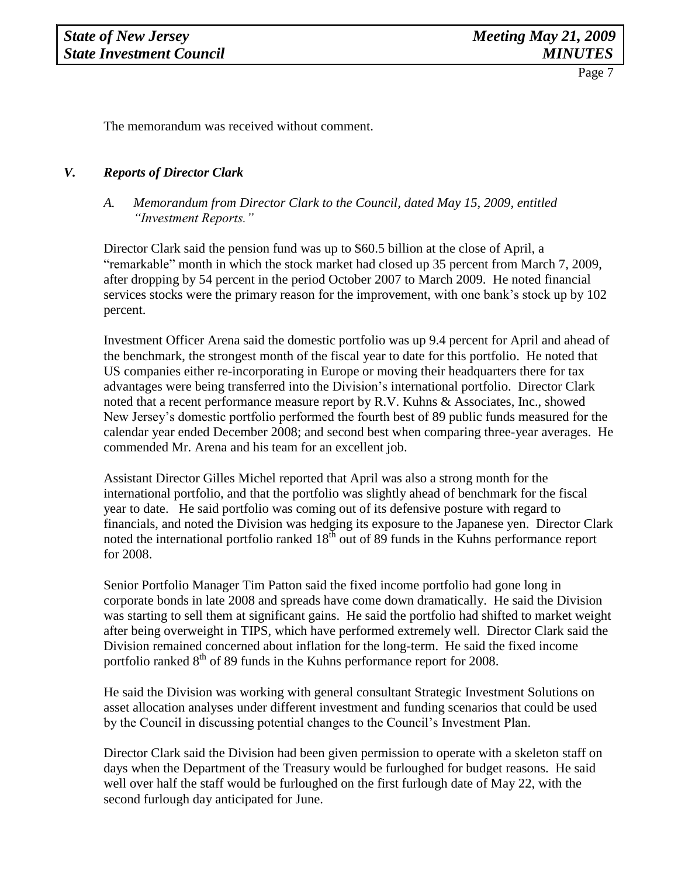The memorandum was received without comment.

## *V. Reports of Director Clark*

## *A. Memorandum from Director Clark to the Council, dated May 15, 2009, entitled "Investment Reports."*

Director Clark said the pension fund was up to \$60.5 billion at the close of April, a "remarkable" month in which the stock market had closed up 35 percent from March 7, 2009, after dropping by 54 percent in the period October 2007 to March 2009. He noted financial services stocks were the primary reason for the improvement, with one bank's stock up by 102 percent.

Investment Officer Arena said the domestic portfolio was up 9.4 percent for April and ahead of the benchmark, the strongest month of the fiscal year to date for this portfolio. He noted that US companies either re-incorporating in Europe or moving their headquarters there for tax advantages were being transferred into the Division's international portfolio. Director Clark noted that a recent performance measure report by R.V. Kuhns & Associates, Inc., showed New Jersey's domestic portfolio performed the fourth best of 89 public funds measured for the calendar year ended December 2008; and second best when comparing three-year averages. He commended Mr. Arena and his team for an excellent job.

Assistant Director Gilles Michel reported that April was also a strong month for the international portfolio, and that the portfolio was slightly ahead of benchmark for the fiscal year to date. He said portfolio was coming out of its defensive posture with regard to financials, and noted the Division was hedging its exposure to the Japanese yen. Director Clark noted the international portfolio ranked  $18^{th}$  out of 89 funds in the Kuhns performance report for 2008.

Senior Portfolio Manager Tim Patton said the fixed income portfolio had gone long in corporate bonds in late 2008 and spreads have come down dramatically. He said the Division was starting to sell them at significant gains. He said the portfolio had shifted to market weight after being overweight in TIPS, which have performed extremely well. Director Clark said the Division remained concerned about inflation for the long-term. He said the fixed income portfolio ranked  $8<sup>th</sup>$  of 89 funds in the Kuhns performance report for 2008.

He said the Division was working with general consultant Strategic Investment Solutions on asset allocation analyses under different investment and funding scenarios that could be used by the Council in discussing potential changes to the Council's Investment Plan.

Director Clark said the Division had been given permission to operate with a skeleton staff on days when the Department of the Treasury would be furloughed for budget reasons. He said well over half the staff would be furloughed on the first furlough date of May 22, with the second furlough day anticipated for June.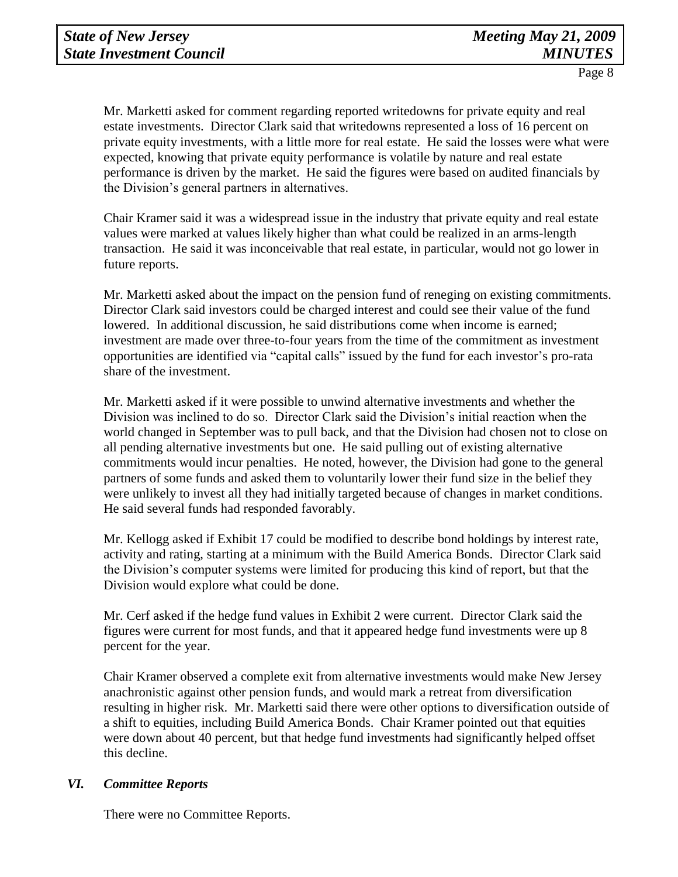Mr. Marketti asked for comment regarding reported writedowns for private equity and real estate investments. Director Clark said that writedowns represented a loss of 16 percent on private equity investments, with a little more for real estate. He said the losses were what were expected, knowing that private equity performance is volatile by nature and real estate performance is driven by the market. He said the figures were based on audited financials by the Division's general partners in alternatives.

Chair Kramer said it was a widespread issue in the industry that private equity and real estate values were marked at values likely higher than what could be realized in an arms-length transaction. He said it was inconceivable that real estate, in particular, would not go lower in future reports.

Mr. Marketti asked about the impact on the pension fund of reneging on existing commitments. Director Clark said investors could be charged interest and could see their value of the fund lowered. In additional discussion, he said distributions come when income is earned; investment are made over three-to-four years from the time of the commitment as investment opportunities are identified via "capital calls" issued by the fund for each investor's pro-rata share of the investment.

Mr. Marketti asked if it were possible to unwind alternative investments and whether the Division was inclined to do so. Director Clark said the Division's initial reaction when the world changed in September was to pull back, and that the Division had chosen not to close on all pending alternative investments but one. He said pulling out of existing alternative commitments would incur penalties. He noted, however, the Division had gone to the general partners of some funds and asked them to voluntarily lower their fund size in the belief they were unlikely to invest all they had initially targeted because of changes in market conditions. He said several funds had responded favorably.

Mr. Kellogg asked if Exhibit 17 could be modified to describe bond holdings by interest rate, activity and rating, starting at a minimum with the Build America Bonds. Director Clark said the Division's computer systems were limited for producing this kind of report, but that the Division would explore what could be done.

Mr. Cerf asked if the hedge fund values in Exhibit 2 were current. Director Clark said the figures were current for most funds, and that it appeared hedge fund investments were up 8 percent for the year.

Chair Kramer observed a complete exit from alternative investments would make New Jersey anachronistic against other pension funds, and would mark a retreat from diversification resulting in higher risk. Mr. Marketti said there were other options to diversification outside of a shift to equities, including Build America Bonds. Chair Kramer pointed out that equities were down about 40 percent, but that hedge fund investments had significantly helped offset this decline.

#### *VI. Committee Reports*

There were no Committee Reports.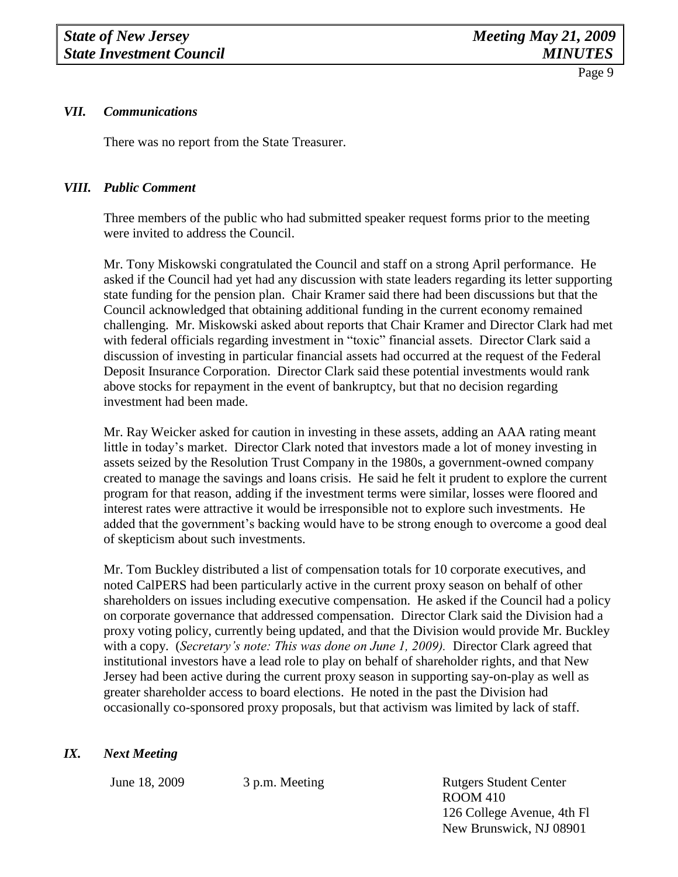#### *VII. Communications*

There was no report from the State Treasurer.

#### *VIII. Public Comment*

Three members of the public who had submitted speaker request forms prior to the meeting were invited to address the Council.

Mr. Tony Miskowski congratulated the Council and staff on a strong April performance. He asked if the Council had yet had any discussion with state leaders regarding its letter supporting state funding for the pension plan. Chair Kramer said there had been discussions but that the Council acknowledged that obtaining additional funding in the current economy remained challenging. Mr. Miskowski asked about reports that Chair Kramer and Director Clark had met with federal officials regarding investment in "toxic" financial assets. Director Clark said a discussion of investing in particular financial assets had occurred at the request of the Federal Deposit Insurance Corporation. Director Clark said these potential investments would rank above stocks for repayment in the event of bankruptcy, but that no decision regarding investment had been made.

Mr. Ray Weicker asked for caution in investing in these assets, adding an AAA rating meant little in today's market. Director Clark noted that investors made a lot of money investing in assets seized by the Resolution Trust Company in the 1980s, a government-owned company created to manage the savings and loans crisis. He said he felt it prudent to explore the current program for that reason, adding if the investment terms were similar, losses were floored and interest rates were attractive it would be irresponsible not to explore such investments. He added that the government's backing would have to be strong enough to overcome a good deal of skepticism about such investments.

Mr. Tom Buckley distributed a list of compensation totals for 10 corporate executives, and noted CalPERS had been particularly active in the current proxy season on behalf of other shareholders on issues including executive compensation. He asked if the Council had a policy on corporate governance that addressed compensation. Director Clark said the Division had a proxy voting policy, currently being updated, and that the Division would provide Mr. Buckley with a copy. (*Secretary's note: This was done on June 1, 2009).* Director Clark agreed that institutional investors have a lead role to play on behalf of shareholder rights, and that New Jersey had been active during the current proxy season in supporting say-on-play as well as greater shareholder access to board elections. He noted in the past the Division had occasionally co-sponsored proxy proposals, but that activism was limited by lack of staff.

#### *IX. Next Meeting*

June 18, 2009 3 p.m. Meeting Rutgers Student Center ROOM 410 126 College Avenue, 4th Fl New Brunswick, NJ 08901